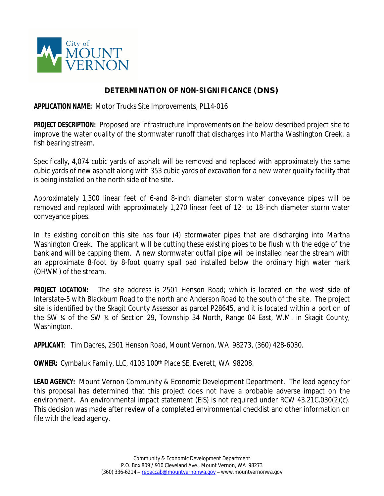

## **DETERMINATION OF NON-SIGNIFICANCE (DNS)**

**APPLICATION NAME:** Motor Trucks Site Improvements, PL14-016

**PROJECT DESCRIPTION:** Proposed are infrastructure improvements on the below described project site to improve the water quality of the stormwater runoff that discharges into Martha Washington Creek, a fish bearing stream.

Specifically, 4,074 cubic yards of asphalt will be removed and replaced with approximately the same cubic yards of new asphalt along with 353 cubic yards of excavation for a new water quality facility that is being installed on the north side of the site.

Approximately 1,300 linear feet of 6-and 8-inch diameter storm water conveyance pipes will be removed and replaced with approximately 1,270 linear feet of 12- to 18-inch diameter storm water conveyance pipes.

In its existing condition this site has four (4) stormwater pipes that are discharging into Martha Washington Creek. The applicant will be cutting these existing pipes to be flush with the edge of the bank and will be capping them. A new stormwater outfall pipe will be installed near the stream with an approximate 8-foot by 8-foot quarry spall pad installed below the ordinary high water mark (OHWM) of the stream.

**PROJECT LOCATION:** The site address is 2501 Henson Road; which is located on the west side of Interstate-5 with Blackburn Road to the north and Anderson Road to the south of the site. The project site is identified by the Skagit County Assessor as parcel P28645, and it is located within a portion of the SW ¼ of the SW ¼ of Section 29, Township 34 North, Range 04 East, W.M. in Skagit County, Washington.

**APPLICANT**: Tim Dacres, 2501 Henson Road, Mount Vernon, WA 98273, (360) 428-6030.

**OWNER:** Cymbaluk Family, LLC, 4103 100th Place SE, Everett, WA 98208.

**LEAD AGENCY:** Mount Vernon Community & Economic Development Department. The lead agency for this proposal has determined that this project does not have a probable adverse impact on the environment. An environmental impact statement (EIS) is not required under RCW 43.21C.030(2)(c). This decision was made after review of a completed environmental checklist and other information on file with the lead agency.